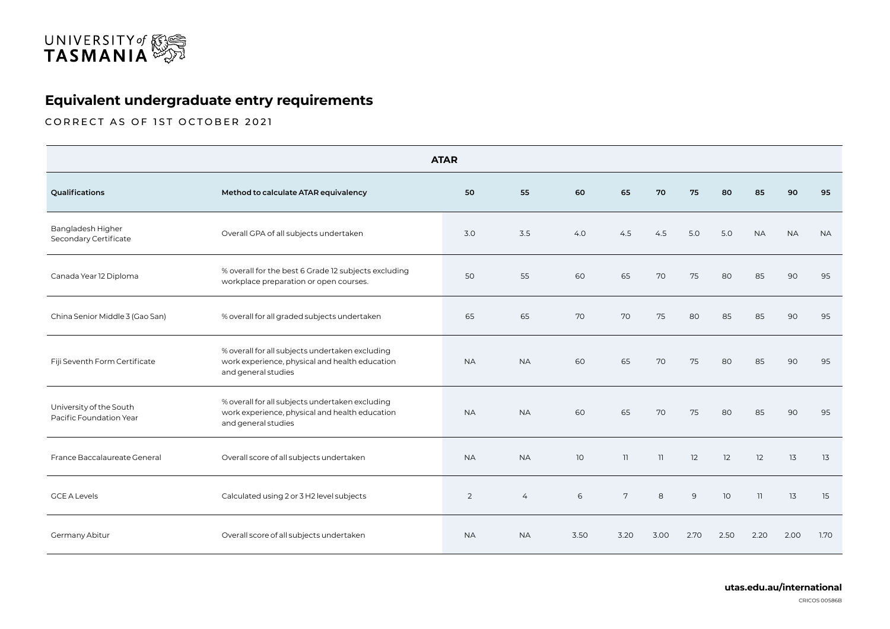

## **Equivalent undergraduate entry requirements**

CORRECT AS OF 1ST OCTOBER 2021

| <b>ATAR</b>                                        |                                                                                                                          |                |           |                 |      |                 |      |      |           |           |           |
|----------------------------------------------------|--------------------------------------------------------------------------------------------------------------------------|----------------|-----------|-----------------|------|-----------------|------|------|-----------|-----------|-----------|
| Qualifications                                     | Method to calculate ATAR equivalency                                                                                     | 50             | 55        | 60              | 65   | 70              | 75   | 80   | 85        | 90        | 95        |
| Bangladesh Higher<br>Secondary Certificate         | Overall GPA of all subjects undertaken                                                                                   | 3.0            | 3.5       | 4.0             | 4.5  | 4.5             | 5.0  | 5.0  | <b>NA</b> | <b>NA</b> | <b>NA</b> |
| Canada Year 12 Diploma                             | % overall for the best 6 Grade 12 subjects excluding<br>workplace preparation or open courses.                           | 50             | 55        | 60              | 65   | 70              | 75   | 80   | 85        | 90        | 95        |
| China Senior Middle 3 (Gao San)                    | % overall for all graded subjects undertaken                                                                             | 65             | 65        | 70              | 70   | 75              | 80   | 85   | 85        | 90        | 95        |
| Fiji Seventh Form Certificate                      | % overall for all subjects undertaken excluding<br>work experience, physical and health education<br>and general studies | <b>NA</b>      | <b>NA</b> | 60              | 65   | 70              | 75   | 80   | 85        | 90        | 95        |
| University of the South<br>Pacific Foundation Year | % overall for all subjects undertaken excluding<br>work experience, physical and health education<br>and general studies | <b>NA</b>      | <b>NA</b> | 60              | 65   | 70              | 75   | 80   | 85        | 90        | 95        |
| France Baccalaureate General                       | Overall score of all subjects undertaken                                                                                 | <b>NA</b>      | <b>NA</b> | 10 <sup>°</sup> | 11   | $\overline{11}$ | 12   | 12   | 12        | 13        | 13        |
| <b>GCE A Levels</b>                                | Calculated using 2 or 3 H2 level subjects                                                                                | $\overline{2}$ | 4         | 6               | 7    | 8               | 9    | 10   | 11        | 13        | 15        |
| Germany Abitur                                     | Overall score of all subjects undertaken                                                                                 | <b>NA</b>      | <b>NA</b> | 3.50            | 3.20 | 3.00            | 2.70 | 2.50 | 2.20      | 2.00      | 1.70      |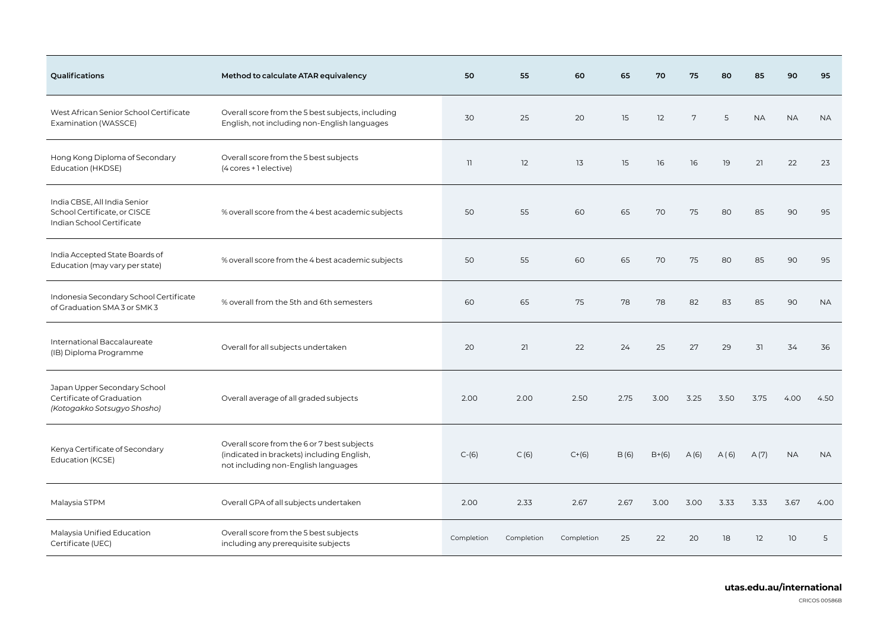| Qualifications                                                                            | Method to calculate ATAR equivalency                                                                                             | 50         | 55         | 60         | 65   | 70      | 75   | 80   | 85        | 90        | 95        |
|-------------------------------------------------------------------------------------------|----------------------------------------------------------------------------------------------------------------------------------|------------|------------|------------|------|---------|------|------|-----------|-----------|-----------|
| West African Senior School Certificate<br>Examination (WASSCE)                            | Overall score from the 5 best subjects, including<br>English, not including non-English languages                                | 30         | 25         | 20         | 15   | 12      | 7    | 5    | <b>NA</b> | <b>NA</b> | <b>NA</b> |
| Hong Kong Diploma of Secondary<br>Education (HKDSE)                                       | Overall score from the 5 best subjects<br>(4 cores + 1 elective)                                                                 | 11         | 12         | 13         | 15   | 16      | 16   | 19   | 21        | 22        | 23        |
| India CBSE, All India Senior<br>School Certificate, or CISCE<br>Indian School Certificate | % overall score from the 4 best academic subjects                                                                                | 50         | 55         | 60         | 65   | 70      | 75   | 80   | 85        | 90        | 95        |
| India Accepted State Boards of<br>Education (may vary per state)                          | % overall score from the 4 best academic subjects                                                                                | 50         | 55         | 60         | 65   | 70      | 75   | 80   | 85        | 90        | 95        |
| Indonesia Secondary School Certificate<br>of Graduation SMA 3 or SMK 3                    | % overall from the 5th and 6th semesters                                                                                         | 60         | 65         | 75         | 78   | 78      | 82   | 83   | 85        | 90        | <b>NA</b> |
| International Baccalaureate<br>(IB) Diploma Programme                                     | Overall for all subjects undertaken                                                                                              | 20         | 21         | 22         | 24   | 25      | 27   | 29   | 31        | 34        | 36        |
| Japan Upper Secondary School<br>Certificate of Graduation<br>(Kotogakko Sotsugyo Shosho)  | Overall average of all graded subjects                                                                                           | 2.00       | 2.00       | 2.50       | 2.75 | 3.00    | 3.25 | 3.50 | 3.75      | 4.00      | 4.50      |
| Kenya Certificate of Secondary<br>Education (KCSE)                                        | Overall score from the 6 or 7 best subjects<br>(indicated in brackets) including English,<br>not including non-English languages | $C-(6)$    | C(6)       | $C+ (6)$   | B(6) | $B+(6)$ | A(6) | A(6) | A(7)      | <b>NA</b> | <b>NA</b> |
| Malaysia STPM                                                                             | Overall GPA of all subjects undertaken                                                                                           | 2.00       | 2.33       | 2.67       | 2.67 | 3.00    | 3.00 | 3.33 | 3.33      | 3.67      | 4.00      |
| Malaysia Unified Education<br>Certificate (UEC)                                           | Overall score from the 5 best subjects<br>including any prerequisite subjects                                                    | Completion | Completion | Completion | 25   | 22      | 20   | 18   | 12        | 10        | 5         |